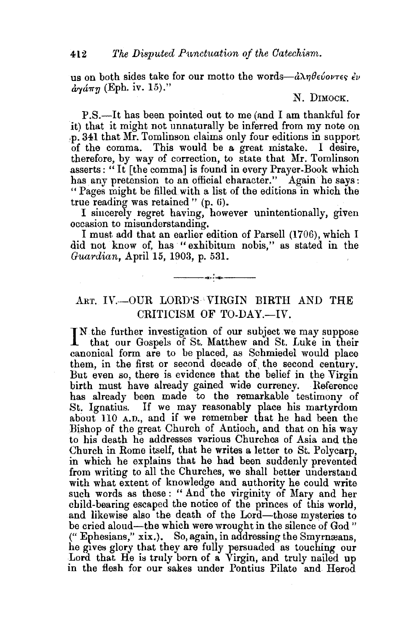us on both sides take for our motto the words- $\partial \lambda \eta \theta \epsilon \omega \nu \tau \epsilon$ ,  $\partial \nu$  $\frac{\partial}{\partial \mathbf{v}}\mathbf{\hat{a}}\pi\eta$  (Eph. iv. 15)."

## N. DIMOCK.

P.S.—It has been pointed out to me (and I am thankful for it) that it might not unnaturally be inferred from my note on ·P· 341 that Mr. Tomlinson claims only four editions in support of the comma. This would be a great mistake. I desire, therefore, by way of correction, to state that Mr. Tomlinson asserts:" It [the comma] is found in every Prayer-Book which has any pretension to an official character." Again he says: " Pages might be filled with a list of the editions in which the true reading was retained"  $(p, 6)$ .

I sincerely regret having, however unintentionally, given occasion to misunderstanding.

I must. add that an earlier edition of Parsell (1706), which I did not know of, has "exhibitum nobis," as stated in the *Guardian,* April 15, 1903, p. 531.

## ART. IV.-OUR LORD'S VIRGIN BIRTH AND THE CRITICISM OF TO-DAY.--IV.

---<~··~---

IN the further investigation of our subject we may suppose that our Gospels of St. Matthew and St. Luke in their that our Gospels of St. Matthew and St. Luke in their canonical form are to be placed, as Schmiedel would place them, in the first or second decade of, the second century. But even so, there is evidence that the belief in the Virgin birth must have already gained wide currency. Reference has already been made to the remarkable testimony of St. Ignatius. If we may reasonably place his martyrdom about llO A.D., and if we remember that he had been the Bishop of the great Church of Antioch, and that on his way to his death he addresses various Churches of Asia and the Church in Rome itself, that he writes a letter to St. Polycarp, in which he explains that he had been suddenly prevented from writing to all the Churches, we shall better understand with what extent of knowledge and authority he could write such words as these: "And the virginity of Mary and her child-bearing escaped the notice of the princes of this world. and likewise also the death of the Lord-those mysteries to be cried aloud—the which were wrought in the silence of God" ("Ephesians," xix.). So, again, in addressing the Smyrnæans, he gives glory that they are fully persuaded as touching our Lord that He is truly born of a Virgin, and truly nailed up in the flesh for our sakes under Pontius Pilate and Herod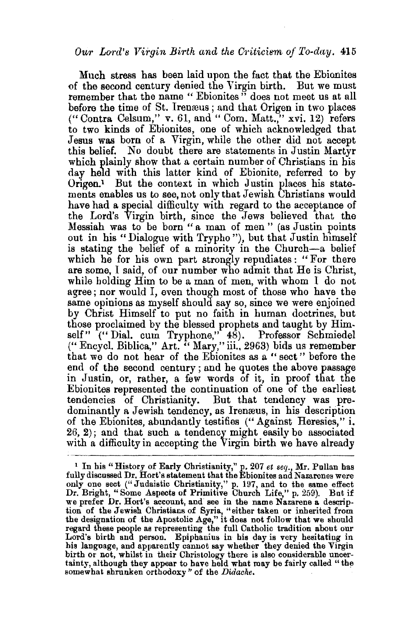## *Our Lord's Virgin Birth and the 01·iticism, of To-day.* 415

Much stress has been laid upon the fact that the Ebionites of the second century denied the Virgin birth. But we must remember that the name " Ebionites" does not meet us at all before the time of St. Irenaus; and that Origen in two places  $($ "Contra Celsum," v. 61, and "Com. Matt.," xvi. 12) refers to two kinds of Ebionites, one of which acknowledged that Jesus was born of a Virgin, while the other did not accept this belief. No doubt there are statements in Justin Martyr which plainly show that a certain number of Christians in his day held with this latter kind of Ebionite, referred to by  $O$ rigen.<sup>1</sup> But the context in which Justin places his statements enables us to see, not only that Jewish Christians would have had a special difficulty with regard to the acceptance of the Lord's Virgin birth, since the Jews believed that the Messiah was to be born "a man of men" (as Justin points out in his "Dialogue with Trypho"), but that Justin himself is stating the belief of a minority in the Church-a belief which he for his own part strongly repudiates : "For there are some, I said, of our number who admit that He is Christ, while holding Him to be a man of men, with whom I do not agree; nor would I, even though most of those who have the same opinions as myself should say so, since we were enjoined by Christ Himself to put no faith in human doctrines, but those proclaimed by the blessed prophets and taught by Himself" ("Dial. cum Tryphone," 48). Professor Schmiedel {" Encycl. Biblica," Art. " Mary," iii., 2963) bids us remember that we do not hear of the Ebionites as a " sect " before the end of the second century ; and he quotes the above passage in Justin, or, rather, a few words of it, in proof that the Ebionites represented the continuation of one of the earliest tendencies of Christianity. But that tendency was predominantly a Jewish tendency, as Iremeus, in his description of the Ebionites, abundantly testifies ("Against Heresies," i. 26, 2); and that such a tendency might easily be associated with a difficulty in accepting the Virgin birth we have already

<sup>&</sup>lt;sup>1</sup> In his "History of Early Christianity," p. 207 *et seq.*, Mr. Pullan has fully discussed Dr. Hort's statement that the Ebionites and Nazarenes were fully discussed Dr. Hort's statement that the Ebionites and Nazarenes were only one sect (" J udaistic Christianity," p. 197, and to the same effect Dr. Bright, "Some Aspects of Primitive Church Life," p. 259). But if we prefer Dr. Hort's account, and see in the name Nazarene a description of the Jewish Christians of Syria, "either taken or inherited from the designation of the Apostolic Age," it does not follow that we should Lord's birth and person. Epiphanius in his day is very hesitating in his language, and apparently cannot say whether they denied the Virgin birth or not, whilst in their Christology there is also considerable uncertainty, although they appear to have held what may be fairly called "the somewhat shrunken orthodoxy" of the *Didache.*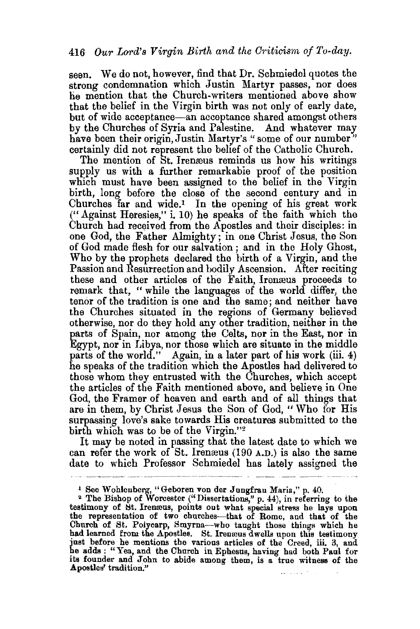seen. We do not, however, find that Dr. Schmiedel quotes the strong condemnation which Justin Martyr passes, nor does he mention that the Church-writers mentioned above show that the belief in the Virgin birth was not only of early date, but of wide acceptance-an acceptance shared amongst others by the Churches of Syria and Palestine. And whatever may have been their origin, Justin Martyr's "some of our number" certainly did not represent the belief of the Catholic Church.

The mention of St. Ireneus reminds us how his writings supply us with a further remarkable proof of the position which must have been assigned to the belief in the Virgin birth, long before the close of the second century and in Churches far and wide.<sup>1</sup> In the opening of his great work ("Against Heresies," i. 10) he speaks of the faith which the Church had received from the Apostles and their disciples: in one God, the Father Almighty; in one Christ Jesus, the Son of God made flesh for our salvation ; and in the Holy Ghost, Who by the prophets declared the birth of a Virgin, and the Passion and Resurrection and bodily Ascension. After reciting these and other articles of the Faith, Irenaeus proceeds to remark that, "while the languages of the world differ, the tenor of the tradition is one and the same; and neither have the Churches situated in the regions of Germany believed otherwise, nor do they hold any other tradition, neither in the parts of Spain, nor among the Celts, nor in the East, nor in Egypt, nor in I.ibya, nor those which are situate in the middle parts of the world." Again, in a later part of his work (iii. 4) he speaks of the tradition which the Apostles had delivered to those whom they entrusted with the Churches, which accept the articles of the Faith mentioned above, and believe in  $O$ ne God, the Framer of heaven and earth and of all things that are in them, by Christ Jesus the Son of God, " Who for His surpassing love's sake towards His creatures submitted to the birth which was to be of the Virgin."<sup>2</sup>

It may be noted in passing that the latest date to which we can refer the work of St. Irenaeus  $(190 A.D.)$  is also the same date to which Professor Schmiedel has lately assigned the

<sup>&</sup>lt;sup>1</sup> See Wohlenberg, "Geboren von der Jungfrau Maria," p. 40.<br><sup>2</sup> The Bishop of Worcester ("Dissertations," p. 44), in referring to the testimony of St. Irenæus, points out what special stress he lays upon the representation of two churches--that of Rome, and that of the Church of St. Potycarp, Smyrna-who taught those things which be had learned from the Apostles. St. Iremeus dwells upon this testimony just before he mentions the various articles of the Creed, iii. 3, and he adds: "Yea, and the Church in Ephesus, having had both Paul for its founder and John to abide among them, is a true witness of the Apostles' tradition."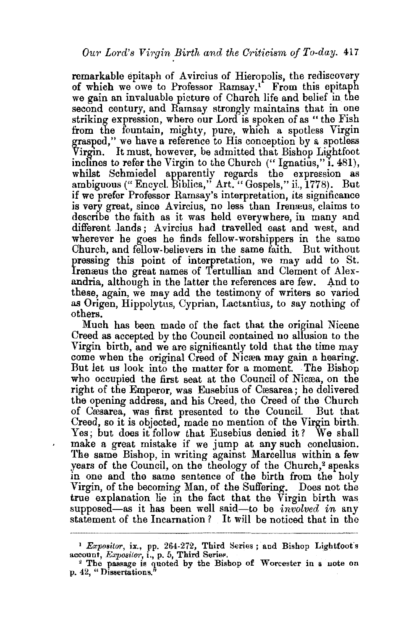remarkable epitaph of Avircius of Hieropolis, the rediscovery of which we owe to Professor Ramsay.1 From this epitaph we gain an invaluable picture of Church life and belief in the second century, and Ramsay strongly maintains that in one striking expression, where our Lord is spoken of as " the Fish from the fountain, mighty, pure, which a spotless Virgin grasped," we have a reference to His conception by a spotless Virgin. It must, however, be admitted that Bishop Lightfoot inclines to refer the Virgin to the Church  $('$  Ignatius,"  $\tilde{i}$ , 481), whilst Schmiedel apparently regards the expression as ambiguous(" Encycl. Biblica," Art." Gospels," ii., 1778). But if we prefer Professor Ramsay's interpretation, its significance is very great, since Avircius, no less than Irenæus, claims to describe the faith as it was held everywhere, in many and different Jands ; A vircius had travelled east and west, and wherever he goes he finds fellow-worshippers in the same Church, and fellow-believers in the same faith. But without pressing this point of interpretation, we may add to St. Irenæus the great names of Tertullian and Clement of Alexandria, although in the latter the references are few. And to these, again, we may add the testimony of writers so varied as Origen, Hippolytus, Cyprian, Lactantius, to say nothing of others.

Much has been made of the fact that the original Nicene Creed as accepted by the Council contained no allusion to the Virgin birth, and we are significantly told that the time may come when the original Creed of Nicrea may gain a hearing. But let us look into the matter for a moment. The Bishop who occupied the first seat at the Council of Nicæa, on the right of the Emperor, was Eusebius of Cæsarea; he delivered the opening address, and his Creed, the Creed of the Church of Cresarea, was first presented to the Council But that Creed, so it is objected, made no mention of the Virgin birth. Yes; but does it follow that Eusebius denied it? We shall make a great mistake if we jump at any such conclusion. The same Bishop, in writing against Marcellus within a few years of the Council, on the theology of the Church,<sup>2</sup> speaks in one and the same sentence of the birth from the holy Virgin, of the becoming Man, of the Suffering. Does not the true explanation lie in the fact that the Virgin birth was supposed—as it has been well said—to be *involved in* any statement of the Incarnation ? It will be noticed that in the

<sup>&</sup>lt;sup>1</sup> Expositor, ix., pp. 264-272, Third Series; and Bishop Lightfoot's account, *Expositor*, i., p. 5, Third Serier.

 $*$  The passage is quoted by the Bishop of Worcester in a note on p. 42, " Dissertations."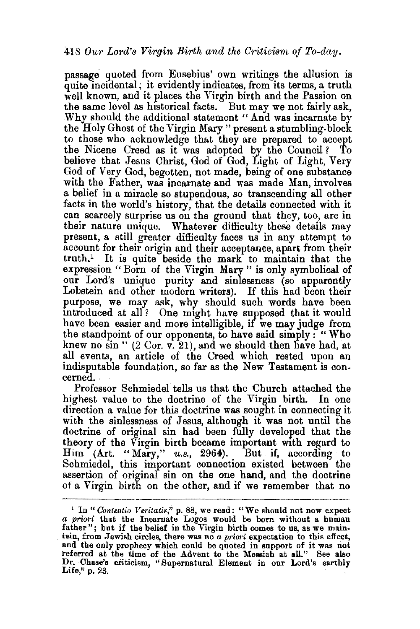passage quoted. from Eusebius' own writings the allusion is quite incidental; it evidently indicates, from its terms, a truth well known, and it places the Virgin birth and the Passion on the same level as historical facts. But may we not fairly ask, Why should the additional statement "And was incarnate by the Holy Ghost of the Virgin Mary "present a stumbling-block to those who acknowledge that they are prepared to accept the Nicene Creed as it was adopted by the Council? To believe that Jesus Christ, God of God, Light of Light, Very God of Very God, begotten, not made, being of one substance with the Father, was incarnate and was made Man, involves a belief in a miracle so stupendous, so transcending all other facts in the world's history, that the details connected with it can scarcely surprise us on the ground that they, too, are in their nature unique. Whatever difficulty these details may present, a still greater difficulty faces us in any attempt to account for their origin and their acceptance, apart from their truth.1 It is quite beside the mark to maintain that the expression "Born of the Virgin Mary" is only symbolical of our Lord's unique purity and sinlessness (so apparently Lobstein and other modern writers). If this had been their purpose, we may ask, why should such words have been introduced at all? One might have supposed that it would have been easier and more intelligible, if we may judge from the standpoint of our opponents, to have said simply : "Who knew no sin"  $(2 \text{ Cor. } v. 21)$ , and we should then have had, at all events, an article of the Creed which rested upon an indisputable foundation, so far as the New Testament is concerned.

Professor Schmiedel tells us that the Church attached the highest value to the doctrine of the Virgin birth. In one direction a value for this doctrine was sought in connecting it with the sinlessness of Jesus, although it was not until the doctrine of original sin had been fully developed that the theory of the Virgin birth became important with regard to  $\text{Him}$  (Art. "Mary," *u.s.*, 2964). But if, according to Schmiedel, this important connection existed between the assertion of original sin on the one hand, and the doctrine of a Virgin birth on the other, and if we remember that no

<sup>1</sup> In" *Conlentio Veritatis,"* p. 88, we read: "We should not now expect a *priori* that the Incarnate Logos wonld be born without a human father"; but if the belief in the Virgin birth comes to us, as we maintain, from Jewish circles, there was no a *priori* expectation to this effect, and the only prophecy which could be quoted in support of it was not referred at the time of the Advent to the Messiah at all." Bee also Dr. Chase's criticism, "Supernatural Element in our Lord's earthly Life," p. 23.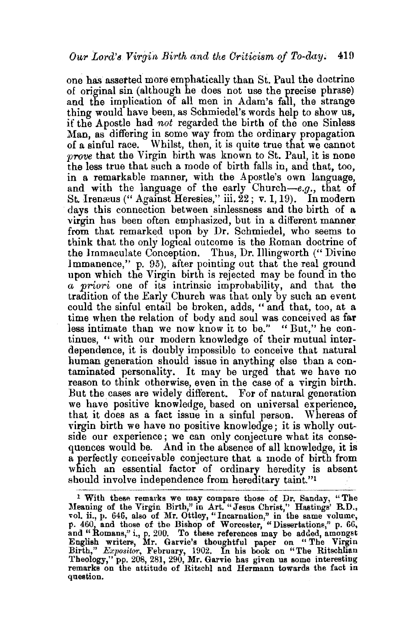one has assetted more emphatically than St. Paul the doctrine of original sin (although he does not use the precise phrase) and the implication of all men in Adam's fall, the strange thing would have been, as Schmiedel's words help to show us, if the Apostle had not regarded the birth of the one Sinless Man, as differing in some way from the ordinary propagation of a sinful race. Whilst, then, it is quite true that we cannot *prove* that the Virgin birth was known to St. Paul, it is none the less true that such a mode of birth falls in, and that, too, in a remarkable manner, with the Apostle's own language, and with the language of the early Church-e.g., that of St. Irenæus ("Against Heresies," iii.  $22$ ; v. 1, 19). In modern days this connection between sinlessness and the birth of a virgin has been often emphasized, but in a different manner from that remarked upon by Dr. Schmiedel, who seems to think that the only logical outcome is the Roman doctrine of the Jmmaculate Conception. Thus, Dr. Illingworth ("Divine 1mmanence," p. 95), after pointing out that the real ground upon which the Virgin birth is rejected may be found in the *a priori* one of its intrinsic improbability, and that the tradition of the Early Church was that only by such an event could the sinful entail be broken, adds, "and that, too, at a time when the relation of body and soul was conceived as far less intimate than we now know it to be." " But," he continues, " with our modern knowledge of their mutual interdependence, it is doubly impossible to conceive that natural human generation should issue in anything else than a contaminated personality. It may be urged that we have no reason to think otherwise, even in the case of a virgin birth. But the cases are widely different. For of natural generatibn 've have positive knowledge, based on universal experience, that it does as a fact issue in a sinful person. Whereas of virgin birth we have no positive knowledge; it is wholly outside our experience; we can only conjecture what its consequences would be. And in the absence of all knowledge, it is a perfectly conceivable conjecture that a mode of birth from which an essential factor of ordinary heredity is absent should involve independence from hereditary taint."<sup>1</sup>

<sup>&</sup>lt;sup>1</sup> With these remarks we may compare those of Dr. Sanday, "The Meaning of the Virgin Birth," in Art. "Jesus Christ," Hastings' B.D., vol. ii., p. 646, also of Mr. Ottley, "Incarnation," in the same volume, p. 460, and those of the Bishop of Worcester, "Dissertations," p. 66, and "Romans," i., p. 200. To these references may be added, amongst<br>English writers, Mr. Garvie's thoughtful paper on "The Virgin Birth," *Expositor,* February, 1902. In his book on "The Ritschlian 'l'heology," pp. 208, 281, 290, Mr. Garvie has given us some interesting remarks on the attitude of Ritschl and Hermann towards the fact in question.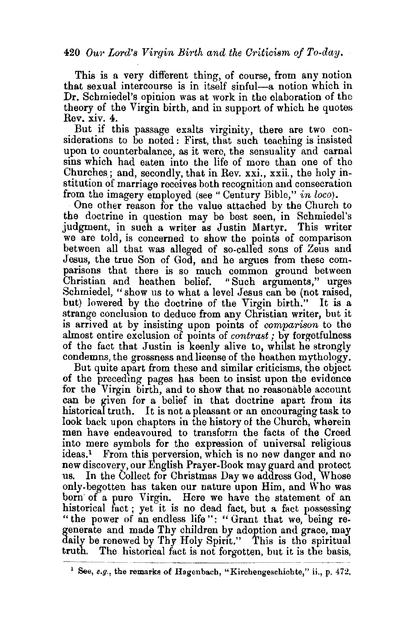## 420 *Our Lord's Virgin Birth and the Criticism of To-day.*

This is a very different thing, of course, from any notion that sexual intercourse is in itself sinful-a notion which in Dr. Schmiedel's opinion was at work in the elaboration of the theory of the Virgin birth, and in support of which he quotes Rev. XIV. 4.

But if this passage exalts virginity, there are two considerations to be noted : First, that such teaching is insisted upon to counterbalance, as it were, the sensuality and carnal sins which had eaten into the life of more than one of the Churches; and, secondly, that in Rev. xxi., xxii., the holy institution of marriage receives both recognition and consecration from the imagery employed (see "Century Bible," *in loco).* 

One other reason for the value attached by the Church to the doctrine in question may be best seen, in Schmiedel's judgment, in such a writer as Justin Martyr. This writer we are told, is concerned to show the points of comparison between all that was alleged of so-called sons of Zeus and Jesus, the true Son of God, and he argues from these comparisons that there is so much common ground between Christian and heathen belief. "Such arguments," urges Christian and heathen belief. Schmiedel, "show us to what a level Jesus can be (not raised, but) lowered by the doctrine of the Virgin birth." It is a strange conclusion to deduce from any Christian writer, but it is arrived at by insisting upon points of *comparison* to the almost entire exclusion of points of *contrast*; by forgetfulness of the fact that Justin is keenly alive to, whilst he strongly condemns, the grossness and license of the heathen mythology.

But quite apart from these and similar criticisms, the object of the precedmg pages has been to insist upon the evidence for the Virgin birth, and to show that no reasonable account can be given for a belief in that doctrine apart from its historical truth. It is not a pleasant or an encouraging task to look back upon chapters in the history of the Church, wherein men have endeavoured to transform the facts of the Creed into mere symbols for the expression of universal religious ideas.1 From this perversion, which is no new danger and no new discovery, our English Prayer-Book may guard and protect<br>us. In the Collect for Christmas Day we address God. Whose In the Collect for Christmas Day we address God, Whose only-begotten has taken our nature upon Him, and Who was born' of a pure Virgin. Here we have the statement of an historical fact ; yet it is no dead fact, but a fact possessing " the power of an endless life": "Grant that we, being regenerate and made Thy children by adoption and grace, may daily be renewed by Thy Holy Spirit." This is the spiritual truth. The historical fact is not forgotten, but it is the basis,

<sup>1</sup> See, *e.g,,* the remarks of Hagenbach, "Kirchengeschicbte," ii., p. 472.